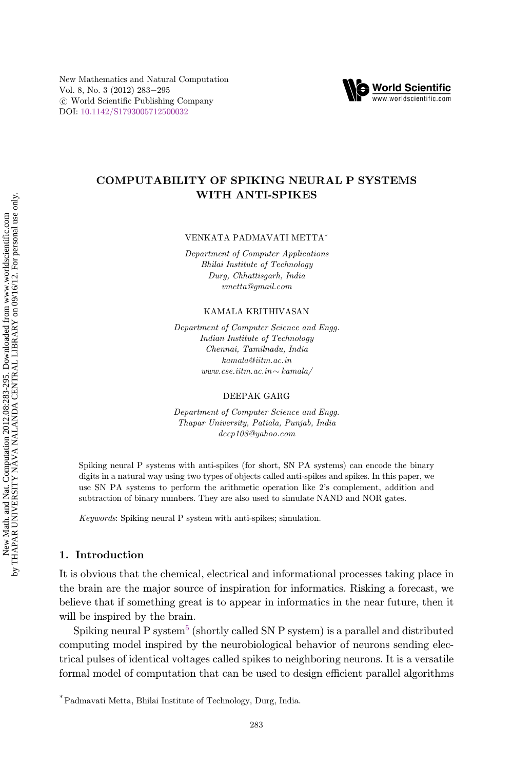New Mathematics and Natural Computation Vol. 8, No. 3 (2012) 283-295  $\circ$  World Scientific Publishing Company DOI: [10.1142/S1793005712500032](http://dx.doi.org/10.1142/S1793005712500032)



# COMPUTABILITY OF SPIKING NEURAL P SYSTEMS WITH ANTI-SPIKES

VENKATA PADMAVATI METTA\*

Department of Computer Applications Bhilai Institute of Technology Durg, Chhattisgarh, India vmetta@gmail.com

KAMALA KRITHIVASAN

Department of Computer Science and Engg. Indian Institute of Technology Chennai, Tamilnadu, India kamala@iitm.ac.in www.cse.iitm.ac.in  $\sim$  kamala/

DEEPAK GARG

Department of Computer Science and Engg. Thapar University, Patiala, Punjab, India deep108@yahoo.com

Spiking neural P systems with anti-spikes (for short, SN PA systems) can encode the binary digits in a natural way using two types of objects called anti-spikes and spikes. In this paper, we use SN PA systems to perform the arithmetic operation like 2's complement, addition and subtraction of binary numbers. They are also used to simulate NAND and NOR gates.

Keywords: Spiking neural P system with anti-spikes; simulation.

### 1. Introduction

It is obvious that the chemical, electrical and informational processes taking place in the brain are the major source of inspiration for informatics. Risking a forecast, we believe that if something great is to appear in informatics in the near future, then it will be inspired by the brain.

Spiking neural P system<sup>[5](#page-12-0)</sup> (shortly called SN P system) is a parallel and distributed computing model inspired by the neurobiological behavior of neurons sending electrical pulses of identical voltages called spikes to neighboring neurons. It is a versatile formal model of computation that can be used to design efficient parallel algorithms

<sup>\*</sup>Padmavati Metta, Bhilai Institute of Technology, Durg, India.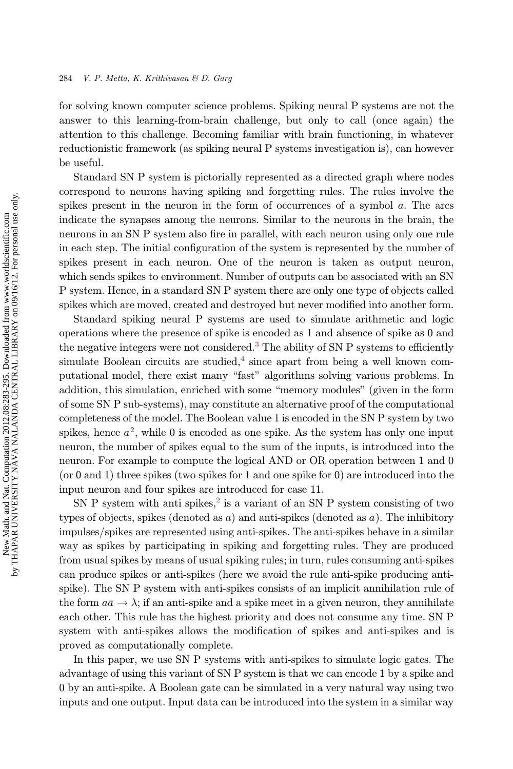for solving known computer science problems. Spiking neural P systems are not the answer to this learning-from-brain challenge, but only to call (once again) the attention to this challenge. Becoming familiar with brain functioning, in whatever reductionistic framework (as spiking neural P systems investigation is), can however be useful.

Standard SN P system is pictorially represented as a directed graph where nodes correspond to neurons having spiking and forgetting rules. The rules involve the spikes present in the neuron in the form of occurrences of a symbol a. The arcs indicate the synapses among the neurons. Similar to the neurons in the brain, the neurons in an SN P system also fire in parallel, with each neuron using only one rule in each step. The initial configuration of the system is represented by the number of spikes present in each neuron. One of the neuron is taken as output neuron, which sends spikes to environment. Number of outputs can be associated with an SN P system. Hence, in a standard SN P system there are only one type of objects called spikes which are moved, created and destroyed but never modified into another form.

Standard spiking neural P systems are used to simulate arithmetic and logic operations where the presence of spike is encoded as 1 and absence of spike as 0 and the negative integers were not considered.<sup>[3](#page-12-0)</sup> The ability of SN P systems to efficiently simulate Boolean circuits are studied, $4$  since apart from being a well known computational model, there exist many "fast" algorithms solving various problems. In addition, this simulation, enriched with some \memory modules" (given in the form of some SN P sub-systems), may constitute an alternative proof of the computational completeness of the model. The Boolean value 1 is encoded in the SN P system by two spikes, hence  $a^2$ , while 0 is encoded as one spike. As the system has only one input neuron, the number of spikes equal to the sum of the inputs, is introduced into the neuron. For example to compute the logical AND or OR operation between 1 and 0 (or 0 and 1) three spikes (two spikes for 1 and one spike for 0) are introduced into the input neuron and four spikes are introduced for case 11.

SN P system with anti spikes,<sup>[2](#page-12-0)</sup> is a variant of an SN P system consisting of two types of objects, spikes (denoted as a) and anti-spikes (denoted as  $\bar{a}$ ). The inhibitory impulses/spikes are represented using anti-spikes. The anti-spikes behave in a similar way as spikes by participating in spiking and forgetting rules. They are produced from usual spikes by means of usual spiking rules; in turn, rules consuming anti-spikes can produce spikes or anti-spikes (here we avoid the rule anti-spike producing antispike). The SN P system with anti-spikes consists of an implicit annihilation rule of the form  $a\bar{a} \rightarrow \lambda$ ; if an anti-spike and a spike meet in a given neuron, they annihilate each other. This rule has the highest priority and does not consume any time. SN P system with anti-spikes allows the modification of spikes and anti-spikes and is proved as computationally complete.

In this paper, we use SN P systems with anti-spikes to simulate logic gates. The advantage of using this variant of SN P system is that we can encode 1 by a spike and 0 by an anti-spike. A Boolean gate can be simulated in a very natural way using two inputs and one output. Input data can be introduced into the system in a similar way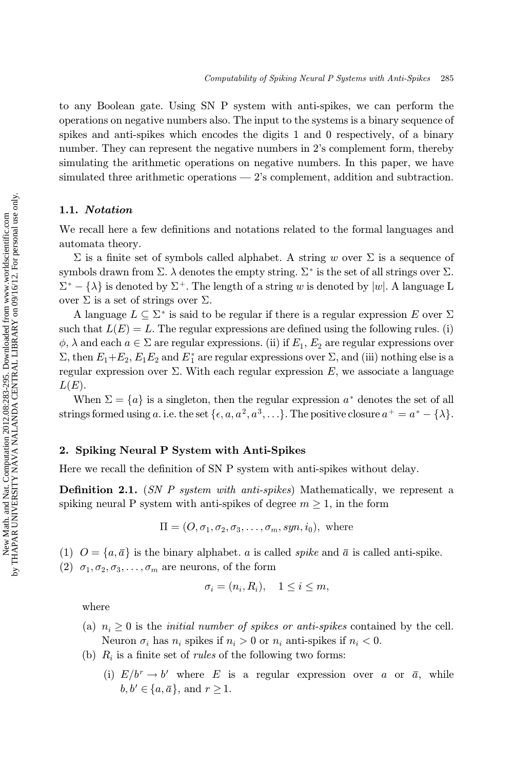to any Boolean gate. Using SN P system with anti-spikes, we can perform the operations on negative numbers also. The input to the systems is a binary sequence of spikes and anti-spikes which encodes the digits 1 and 0 respectively, of a binary number. They can represent the negative numbers in 2's complement form, thereby simulating the arithmetic operations on negative numbers. In this paper, we have simulated three arithmetic operations — 2's complement, addition and subtraction.

### 1.1. Notation

We recall here a few definitions and notations related to the formal languages and automata theory.

 $\Sigma$  is a finite set of symbols called alphabet. A string w over  $\Sigma$  is a sequence of symbols drawn from  $\Sigma$ .  $\lambda$  denotes the empty string.  $\Sigma^*$  is the set of all strings over  $\Sigma$ .  $\Sigma^* - \{\lambda\}$  is denoted by  $\Sigma^+$ . The length of a string w is denoted by  $|w|$ . A language L<br>over  $\Sigma$  is a set of strings over  $\Sigma$ over  $\Sigma$  is a set of strings over  $\Sigma$ .

A language  $L \subseteq \Sigma^*$  is said to be regular if there is a regular expression E over  $\Sigma$ such that  $L(E) = L$ . The regular expressions are defined using the following rules. (i)  $\phi$ ,  $\lambda$  and each  $a \in \Sigma$  are regular expressions. (ii) if  $E_1$ ,  $E_2$  are regular expressions over<br> $\Sigma$ , then  $E + E - E - E$  and  $F^*$  are regular expressions over  $\Sigma$ , and (iii) pothing else is a  $\Sigma$ , then  $E_1+E_2$ ,  $E_1E_2$  and  $E_1^*$  are regular expressions over  $\Sigma$ , and (iii) nothing else is a regular expression over  $\Sigma$ . With each regular expression E, we associate a language  $L(E)$ .

When  $\Sigma = \{a\}$  is a singleton, then the regular expression  $a^*$  denotes the set of all strings formed using a. i.e. the set  $\{\epsilon, a, a^2, a^3, ...\}$ . The positive closure  $a^+ = a^* - {\lambda}.$ 

### 2. Spiking Neural P System with Anti-Spikes

Here we recall the definition of SN P system with anti-spikes without delay.

**Definition 2.1.** (SN P system with anti-spikes) Mathematically, we represent a spiking neural P system with anti-spikes of degree  $m \geq 1$ , in the form

$$
\Pi = (O, \sigma_1, \sigma_2, \sigma_3, \dots, \sigma_m, syn, i_0), \text{ where}
$$

(1)  $O = \{a, \bar{a}\}\$ is the binary alphabet. a is called spike and  $\bar{a}$  is called anti-spike.

(2)  $\sigma_1, \sigma_2, \sigma_3, \ldots, \sigma_m$  are neurons, of the form

$$
\sigma_i = (n_i, R_i), \quad 1 \le i \le m,
$$

where

- (a)  $n_i \geq 0$  is the *initial number of spikes or anti-spikes* contained by the cell. Neuron  $\sigma_i$  has  $n_i$  spikes if  $n_i > 0$  or  $n_i$  anti-spikes if  $n_i < 0$ .
- (b)  $R_i$  is a finite set of *rules* of the following two forms:
	- (i)  $E/b^r \rightarrow b'$  where E is a regular expression over a or  $\bar{a}$ , while  $b, b' \in \{a, \overline{a}\}\$ , and  $r \geq 1$ .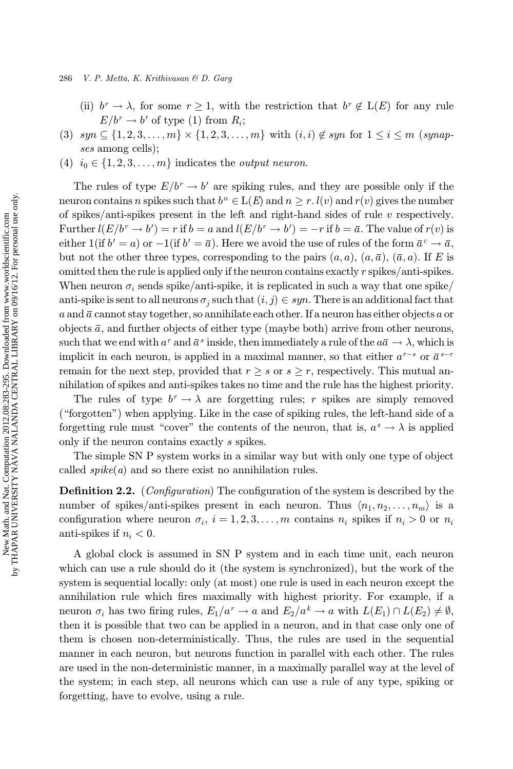#### 286 V. P. Metta, K. Krithivasan & D. Garg

- (ii)  $b^r \to \lambda$ , for some  $r \geq 1$ , with the restriction that  $b^r \notin L(E)$  for any rule  $E/b^r \rightarrow b'$  of type (1) from  $R_i$ ;
- (3)  $syn \subseteq \{1, 2, 3, ..., m\} \times \{1, 2, 3, ..., m\}$  with  $(i, i) \notin syn$  for  $1 \le i \le m$  (synapses among cells);
- (4)  $i_0 \in \{1, 2, 3, \ldots, m\}$  indicates the *output neuron*.

The rules of type  $E/b^r \rightarrow b'$  are spiking rules, and they are possible only if the neuron contains n spikes such that  $b^n \in L(E)$  and  $n \geq r$ .  $l(v)$  and  $r(v)$  gives the number of spikes/anti-spikes present in the left and right-hand sides of rule v respectively. Further  $l(E/b^r \rightarrow b') = r$  if  $b = a$  and  $l(E/b^r \rightarrow b') = -r$  if  $b = \overline{a}$ . The value of  $r(v)$  is<br>oither  $l(i, b' = s)$  or  $l(i, b' = \overline{s})$ . Here we spead the use of rules of the form  $\overline{s}e \rightarrow \overline{s}$ . either  $1(\text{if } b' = a)$  or  $-1(\text{if } b' = \overline{a})$ . Here we avoid the use of rules of the form  $\overline{a}^c \to \overline{a}$ , but not the other three types, corresponding to the pairs  $(a, a)$ ,  $(a, \bar{a})$ ,  $(\bar{a}, a)$ . If E is omitted then the rule is applied only if the neuron contains exactly r spikes/anti-spikes. When neuron  $\sigma_i$  sends spike/anti-spike, it is replicated in such a way that one spike/ anti-spike is sent to all neurons  $\sigma_j$  such that  $(i, j) \in syn$ . There is an additional fact that a and  $\bar{a}$  cannot stay together, so annihilate each other. If a neuron has either objects a or objects  $\bar{a}$ , and further objects of either type (maybe both) arrive from other neurons, such that we end with  $a^r$  and  $\bar{a}^s$  inside, then immediately a rule of the  $a\bar{a} \to \lambda$ , which is implicit in each neuron, is applied in a maximal manner, so that either  $a^{r-s}$  or  $\overline{a}^{s-r}$ remain for the next step, provided that  $r \geq s$  or  $s \geq r$ , respectively. This mutual annihilation of spikes and anti-spikes takes no time and the rule has the highest priority.

The rules of type  $b^r \to \lambda$  are forgetting rules; r spikes are simply removed  $(\text{``forgotten''})$  when applying. Like in the case of spiking rules, the left-hand side of a forgetting rule must "cover" the contents of the neuron, that is,  $a^s \to \lambda$  is applied only if the neuron contains exactly s spikes.

The simple SN P system works in a similar way but with only one type of object called  $spike(a)$  and so there exist no annihilation rules.

**Definition 2.2.** (*Configuration*) The configuration of the system is described by the number of spikes/anti-spikes present in each neuron. Thus  $\langle n_1, n_2, \ldots, n_m \rangle$  is a configuration where neuron  $\sigma_i$ ,  $i = 1, 2, 3, \ldots, m$  contains  $n_i$  spikes if  $n_i > 0$  or  $n_i$ anti-spikes if  $n_i < 0$ .

A global clock is assumed in SN P system and in each time unit, each neuron which can use a rule should do it (the system is synchronized), but the work of the system is sequential locally: only (at most) one rule is used in each neuron except the annihilation rule which fires maximally with highest priority. For example, if a neuron  $\sigma_i$  has two firing rules,  $E_1/a^r \to a$  and  $E_2/a^k \to a$  with  $L(E_1) \cap L(E_2) \neq \emptyset$ , then it is possible that two can be applied in a neuron, and in that case only one of them is chosen non-deterministically. Thus, the rules are used in the sequential manner in each neuron, but neurons function in parallel with each other. The rules are used in the non-deterministic manner, in a maximally parallel way at the level of the system; in each step, all neurons which can use a rule of any type, spiking or forgetting, have to evolve, using a rule.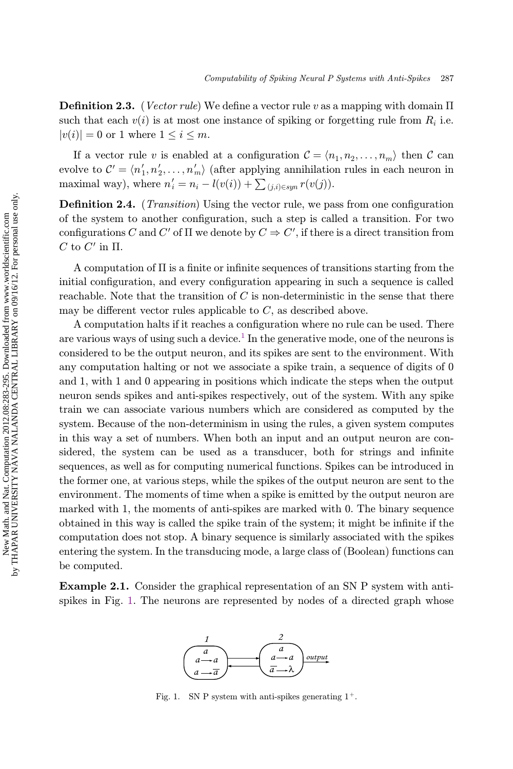**Definition 2.3.** (*Vector rule*) We define a vector rule v as a mapping with domain  $\Pi$ such that each  $v(i)$  is at most one instance of spiking or forgetting rule from  $R_i$  i.e.  $|v(i)| = 0$  or 1 where  $1 \leq i \leq m$ .

If a vector rule v is enabled at a configuration  $\mathcal{C} = \langle n_1, n_2, \ldots, n_m \rangle$  then C can evolve to  $\mathcal{C}' = \langle n'_1, n'_2, \ldots, n'_m \rangle$  (after applying annihilation rules in each neuron in<br>maximal way) where  $n' = n - l(\alpha(i)) + \sum_{i=1}^n n(\alpha(i))$ maximal way), where  $n'_{i} = n_{i} - l(v(i)) + \sum_{(j,i) \in sym} r(v(j)).$ 

**Definition 2.4.** (*Transition*) Using the vector rule, we pass from one configuration of the system to another configuration, such a step is called a transition. For two configurations C and C' of  $\Pi$  we denote by  $C \Rightarrow C'$ , if there is a direct transition from  $C$  to  $C'$  in  $\Pi$  $C$  to  $C'$  in  $\Pi$ .

A computation of  $\Pi$  is a finite or infinite sequences of transitions starting from the initial configuration, and every configuration appearing in such a sequence is called reachable. Note that the transition of  $C$  is non-deterministic in the sense that there may be different vector rules applicable to  $C$ , as described above.

A computation halts if it reaches a configuration where no rule can be used. There are various ways of using such a device.<sup>[1](#page-12-0)</sup> In the generative mode, one of the neurons is considered to be the output neuron, and its spikes are sent to the environment. With any computation halting or not we associate a spike train, a sequence of digits of 0 and 1, with 1 and 0 appearing in positions which indicate the steps when the output neuron sends spikes and anti-spikes respectively, out of the system. With any spike train we can associate various numbers which are considered as computed by the system. Because of the non-determinism in using the rules, a given system computes in this way a set of numbers. When both an input and an output neuron are considered, the system can be used as a transducer, both for strings and infinite sequences, as well as for computing numerical functions. Spikes can be introduced in the former one, at various steps, while the spikes of the output neuron are sent to the environment. The moments of time when a spike is emitted by the output neuron are marked with 1, the moments of anti-spikes are marked with 0. The binary sequence obtained in this way is called the spike train of the system; it might be infinite if the computation does not stop. A binary sequence is similarly associated with the spikes entering the system. In the transducing mode, a large class of (Boolean) functions can be computed.

Example 2.1. Consider the graphical representation of an SN P system with antispikes in Fig. 1. The neurons are represented by nodes of a directed graph whose



Fig. 1. SN P system with anti-spikes generating  $1^+$ .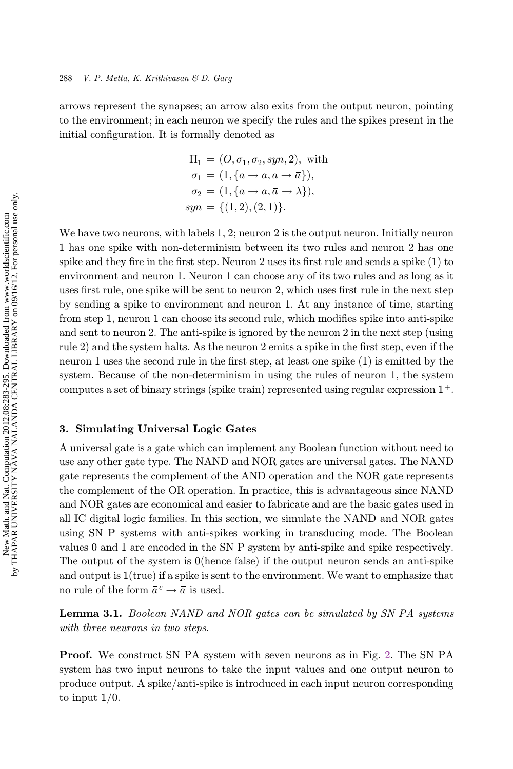arrows represent the synapses; an arrow also exits from the output neuron, pointing to the environment; in each neuron we specify the rules and the spikes present in the initial configuration. It is formally denoted as

$$
\Pi_1 = (O, \sigma_1, \sigma_2, sym, 2), \text{ with} \n\sigma_1 = (1, \{a \to a, a \to \bar{a}\}), \n\sigma_2 = (1, \{a \to a, \bar{a} \to \lambda\}), \nsyn = \{(1, 2), (2, 1)\}.
$$

We have two neurons, with labels 1, 2; neuron 2 is the output neuron. Initially neuron 1 has one spike with non-determinism between its two rules and neuron 2 has one spike and they fire in the first step. Neuron 2 uses its first rule and sends a spike  $(1)$  to environment and neuron 1. Neuron 1 can choose any of its two rules and as long as it uses first rule, one spike will be sent to neuron 2, which uses first rule in the next step by sending a spike to environment and neuron 1. At any instance of time, starting from step 1, neuron 1 can choose its second rule, which modifies spike into anti-spike and sent to neuron 2. The anti-spike is ignored by the neuron 2 in the next step (using rule 2) and the system halts. As the neuron 2 emits a spike in the first step, even if the neuron 1 uses the second rule in the first step, at least one spike  $(1)$  is emitted by the system. Because of the non-determinism in using the rules of neuron 1, the system computes a set of binary strings (spike train) represented using regular expression  $1^+$ .

### 3. Simulating Universal Logic Gates

A universal gate is a gate which can implement any Boolean function without need to use any other gate type. The NAND and NOR gates are universal gates. The NAND gate represents the complement of the AND operation and the NOR gate represents the complement of the OR operation. In practice, this is advantageous since NAND and NOR gates are economical and easier to fabricate and are the basic gates used in all IC digital logic families. In this section, we simulate the NAND and NOR gates using SN P systems with anti-spikes working in transducing mode. The Boolean values 0 and 1 are encoded in the SN P system by anti-spike and spike respectively. The output of the system is 0(hence false) if the output neuron sends an anti-spike and output is  $1$ (true) if a spike is sent to the environment. We want to emphasize that no rule of the form  $\bar{a}^c \rightarrow \bar{a}$  is used.

Lemma 3.1. Boolean NAND and NOR gates can be simulated by SN PA systems with three neurons in two steps.

Proof. We construct SN PA system with seven neurons as in Fig. [2](#page-6-0). The SN PA system has two input neurons to take the input values and one output neuron to produce output. A spike/anti-spike is introduced in each input neuron corresponding to input 1/0.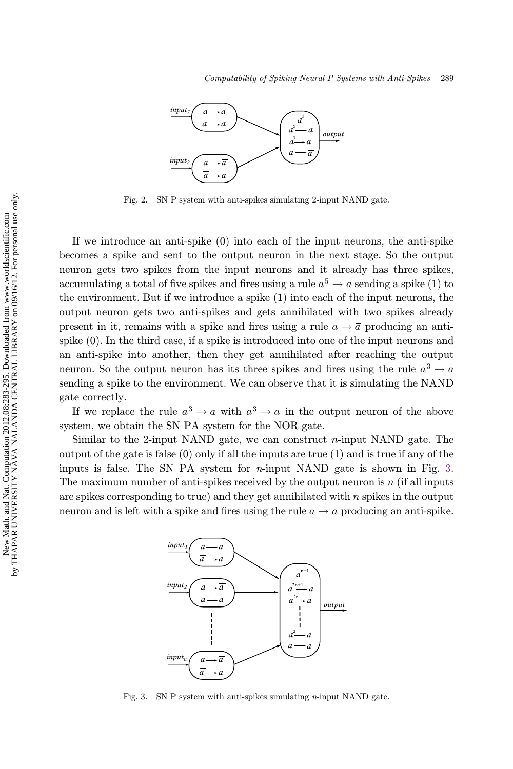<span id="page-6-0"></span>

Fig. 2. SN P system with anti-spikes simulating 2-input NAND gate.

If we introduce an anti-spike (0) into each of the input neurons, the anti-spike becomes a spike and sent to the output neuron in the next stage. So the output neuron gets two spikes from the input neurons and it already has three spikes, accumulating a total of five spikes and fires using a rule  $a^5 \rightarrow a$  sending a spike (1) to the environment. But if we introduce a spike (1) into each of the input neurons, the output neuron gets two anti-spikes and gets annihilated with two spikes already present in it, remains with a spike and fires using a rule  $a \rightarrow \bar{a}$  producing an antispike (0). In the third case, if a spike is introduced into one of the input neurons and an anti-spike into another, then they get annihilated after reaching the output neuron. So the output neuron has its three spikes and fires using the rule  $a^3 \rightarrow a$ sending a spike to the environment. We can observe that it is simulating the NAND gate correctly.

If we replace the rule  $a^3 \rightarrow a$  with  $a^3 \rightarrow \overline{a}$  in the output neuron of the above system, we obtain the SN PA system for the NOR gate.

Similar to the 2-input NAND gate, we can construct  $n$ -input NAND gate. The output of the gate is false  $(0)$  only if all the inputs are true  $(1)$  and is true if any of the inputs is false. The SN PA system for  $n$ -input NAND gate is shown in Fig. 3. The maximum number of anti-spikes received by the output neuron is  $n$  (if all inputs are spikes corresponding to true) and they get annihilated with  $n$  spikes in the output neuron and is left with a spike and fires using the rule  $a \to \overline{a}$  producing an anti-spike.



Fig. 3. SN P system with anti-spikes simulating  $n$ -input NAND gate.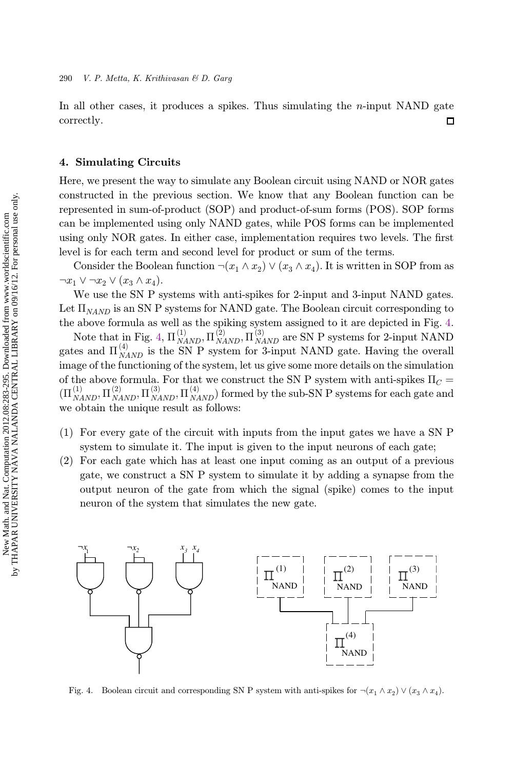<span id="page-7-0"></span>In all other cases, it produces a spikes. Thus simulating the  $n$ -input NAND gate correctly. 口

# 4. Simulating Circuits

Here, we present the way to simulate any Boolean circuit using NAND or NOR gates constructed in the previous section. We know that any Boolean function can be represented in sum-of-product (SOP) and product-of-sum forms (POS). SOP forms can be implemented using only NAND gates, while POS forms can be implemented using only NOR gates. In either case, implementation requires two levels. The first level is for each term and second level for product or sum of the terms.

Consider the Boolean function  $\neg(x_1 \wedge x_2) \vee (x_3 \wedge x_4)$ . It is written in SOP from as  $\neg x_1 \vee \neg x_2 \vee (x_3 \wedge x_4).$ 

We use the SN P systems with anti-spikes for 2-input and 3-input NAND gates. Let  $\Pi_{NAND}$  is an SN P systems for NAND gate. The Boolean circuit corresponding to the above formula as well as the spiking system assigned to it are depicted in Fig. 4.

Note that in Fig. 4,  $\Pi_{NAND}^{(1)}$ ,  $\Pi_{NAND}^{(2)}$ ,  $\Pi_{NAND}^{(3)}$  are SN P systems for 2-input NAND gates and  $\Pi_{NAND}^{(4)}$  is the SN P system for 3-input NAND gate. Having the overall image of the functioning of the system, let us give some more details on the simulation of the above formula. For that we construct the SN P system with anti-spikes  $\Pi_C =$  $C =$  $(\Pi_{NAND}^{(1)}, \Pi_{NAND}^{(2)}, \Pi_{NAND}^{(3)}, \Pi_{NAND}^{(4)})$  formed by the sub-SN P systems for each gate and<br>we obtain the unique result as follows. we obtain the unique result as follows:

- (1) For every gate of the circuit with inputs from the input gates we have a SN P system to simulate it. The input is given to the input neurons of each gate;
- (2) For each gate which has at least one input coming as an output of a previous gate, we construct a SN P system to simulate it by adding a synapse from the output neuron of the gate from which the signal (spike) comes to the input neuron of the system that simulates the new gate.



Fig. 4. Boolean circuit and corresponding SN P system with anti-spikes for  $\neg(x_1 \wedge x_2) \vee (x_3 \wedge x_4)$ .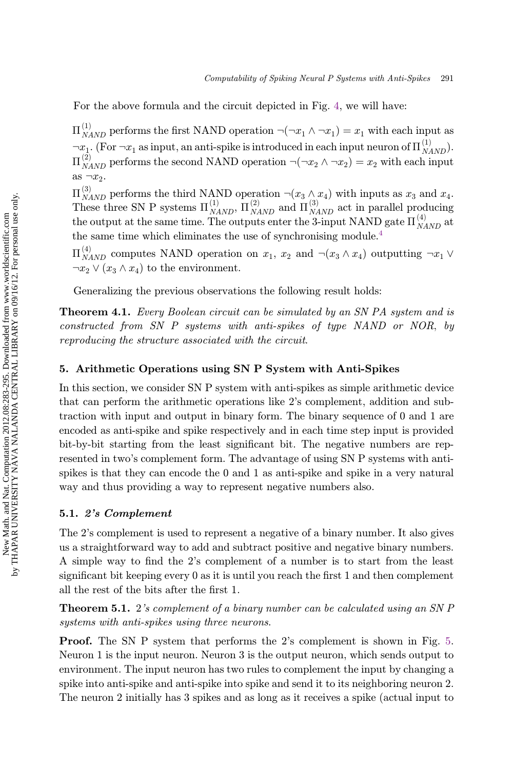For the above formula and the circuit depicted in Fig. [4](#page-7-0), we will have:

 $\Pi_{NAND}^{(1)}$  performs the first NAND operation  $\neg(\neg x_1 \land \neg x_1) = x_1$  with each input as  $\pi x_1$ . (For  $\pi x_1$  as input, an anti-spike is introduced in each input neuron of  $\Pi_{NAND}^{(1)}$ ).  $\Pi_{NAND}^{(2)}$  performs the second NAND operation  $\neg(\neg x_2 \land \neg x_2) = x_2$  with each input as  $\neg x_2$ .

 $\Pi_{NAND}^{(3)}$  performs the third NAND operation  $\neg(x_3 \land x_4)$  with inputs as  $x_3$  and  $x_4$ .<br>These three SN P systems  $\Pi_{NAND}^{(1)}$ ,  $\Pi_{NAND}^{(2)}$  and  $\Pi_{NAND}^{(3)}$  act in parallel producing the output at the same time. The outputs enter the 3-input NAND gate  $\Pi_{NAND}^{(4)}$  at the same time which eliminates the use of synchronising module.<sup>[4](#page-12-0)</sup>

 $\Pi_{NAND}^{(4)}$  computes NAND operation on  $x_1, x_2$  and  $\neg(x_3 \land x_4)$  outputting  $\neg x_1 \lor \neg x_2 \lor (x_1 \land x_2)$  to the environment  $\neg x_2 \lor (x_3 \land x_4)$  to the environment.

Generalizing the previous observations the following result holds:

**Theorem 4.1.** Every Boolean circuit can be simulated by an SN PA system and is constructed from SN P systems with anti-spikes of type NAND or NOR; by reproducing the structure associated with the circuit.

# 5. Arithmetic Operations using SN P System with Anti-Spikes

In this section, we consider SN P system with anti-spikes as simple arithmetic device that can perform the arithmetic operations like 2's complement, addition and subtraction with input and output in binary form. The binary sequence of 0 and 1 are encoded as anti-spike and spike respectively and in each time step input is provided bit-by-bit starting from the least significant bit. The negative numbers are represented in two's complement form. The advantage of using SN P systems with antispikes is that they can encode the 0 and 1 as anti-spike and spike in a very natural way and thus providing a way to represent negative numbers also.

### 5.1. 2's Complement

The 2's complement is used to represent a negative of a binary number. It also gives us a straightforward way to add and subtract positive and negative binary numbers. A simple way to find the 2's complement of a number is to start from the least significant bit keeping every  $\theta$  as it is until you reach the first 1 and then complement all the rest of the bits after the first 1.

Theorem 5.1. 2's complement of a binary number can be calculated using an SN P systems with anti-spikes using three neurons.

Proof. The SN P system that performs the 2's complement is shown in Fig. [5](#page-9-0). Neuron 1 is the input neuron. Neuron 3 is the output neuron, which sends output to environment. The input neuron has two rules to complement the input by changing a spike into anti-spike and anti-spike into spike and send it to its neighboring neuron 2. The neuron 2 initially has 3 spikes and as long as it receives a spike (actual input to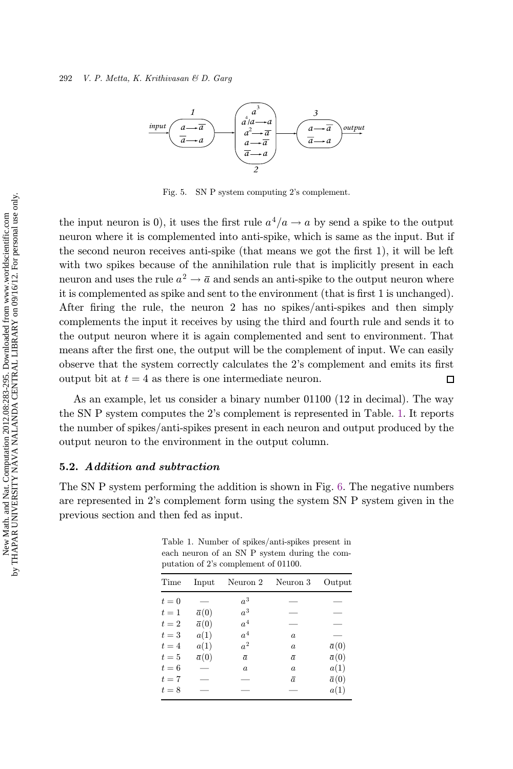<span id="page-9-0"></span>

Fig. 5. SN P system computing 2's complement.

the input neuron is 0), it uses the first rule  $a^4/a \rightarrow a$  by send a spike to the output neuron where it is complemented into anti-spike, which is same as the input. But if the second neuron receives anti-spike (that means we got the first 1), it will be left with two spikes because of the annihilation rule that is implicitly present in each neuron and uses the rule  $a^2 \to \bar{a}$  and sends an anti-spike to the output neuron where it is complemented as spike and sent to the environment (that is first 1 is unchanged). After firing the rule, the neuron  $2$  has no spikes/anti-spikes and then simply complements the input it receives by using the third and fourth rule and sends it to the output neuron where it is again complemented and sent to environment. That means after the first one, the output will be the complement of input. We can easily observe that the system correctly calculates the 2's complement and emits its first output bit at  $t = 4$  as there is one intermediate neuron.  $\Box$ 

As an example, let us consider a binary number 01100 (12 in decimal). The way the SN P system computes the 2's complement is represented in Table. 1. It reports the number of spikes/anti-spikes present in each neuron and output produced by the output neuron to the environment in the output column.

### 5.2. Addition and subtraction

The SN P system performing the addition is shown in Fig. [6.](#page-10-0) The negative numbers are represented in 2's complement form using the system SN P system given in the previous section and then fed as input.

| Time  | Input        | Neuron 2       | Neuron 3         | Output       |  |
|-------|--------------|----------------|------------------|--------------|--|
| $t=0$ |              | $a^3$          |                  |              |  |
| $t=1$ | $\bar{a}(0)$ | $a^3$          |                  |              |  |
| $t=2$ | $\bar{a}(0)$ | a <sup>4</sup> |                  |              |  |
| $t=3$ | a(1)         | $a^4$          | $\boldsymbol{a}$ |              |  |
| $t=4$ | a(1)         | a <sup>2</sup> | $\boldsymbol{a}$ | $\bar{a}(0)$ |  |
| $t=5$ | $\bar{a}(0)$ | $\bar{a}$      | $\bar{a}$        | $\bar{a}(0)$ |  |
| $t=6$ |              | a              | $\boldsymbol{a}$ | a(1)         |  |
| $t=7$ |              |                | $\bar{a}$        | $\bar{a}(0)$ |  |
| $t=8$ |              |                |                  | a(1)         |  |

Table 1. Number of spikes/anti-spikes present in each neuron of an SN P system during the computation of 2's complement of 01100.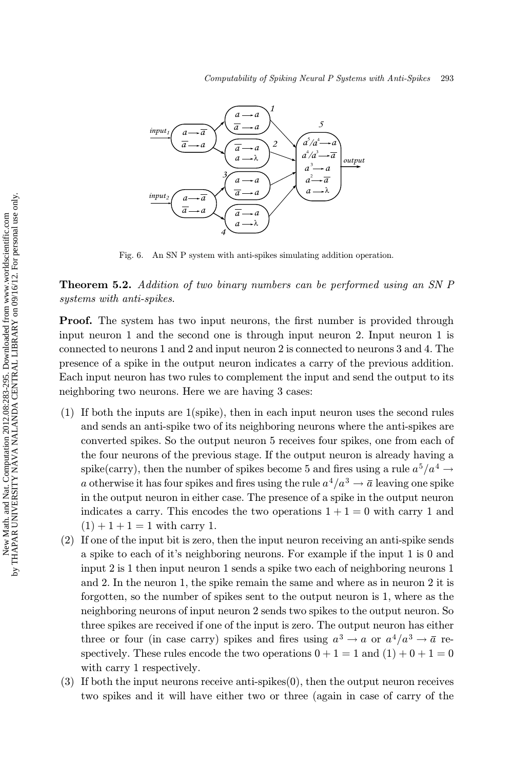<span id="page-10-0"></span>

Fig. 6. An SN P system with anti-spikes simulating addition operation.

Theorem 5.2. Addition of two binary numbers can be performed using an SN P systems with anti-spikes.

**Proof.** The system has two input neurons, the first number is provided through input neuron 1 and the second one is through input neuron 2. Input neuron 1 is connected to neurons 1 and 2 and input neuron 2 is connected to neurons 3 and 4. The presence of a spike in the output neuron indicates a carry of the previous addition. Each input neuron has two rules to complement the input and send the output to its neighboring two neurons. Here we are having 3 cases:

- (1) If both the inputs are 1(spike), then in each input neuron uses the second rules and sends an anti-spike two of its neighboring neurons where the anti-spikes are converted spikes. So the output neuron 5 receives four spikes, one from each of the four neurons of the previous stage. If the output neuron is already having a spike(carry), then the number of spikes become 5 and fires using a rule  $a^5/a^4 \rightarrow$ a otherwise it has four spikes and fires using the rule  $a^4/a^3 \rightarrow \overline{a}$  leaving one spike in the output neuron in either case. The presence of a spike in the output neuron indicates a carry. This encodes the two operations  $1 + 1 = 0$  with carry 1 and  $(1) + 1 + 1 = 1$  with carry 1.
- (2) If one of the input bit is zero, then the input neuron receiving an anti-spike sends a spike to each of it's neighboring neurons. For example if the input 1 is 0 and input 2 is 1 then input neuron 1 sends a spike two each of neighboring neurons 1 and 2. In the neuron 1, the spike remain the same and where as in neuron 2 it is forgotten, so the number of spikes sent to the output neuron is 1, where as the neighboring neurons of input neuron 2 sends two spikes to the output neuron. So three spikes are received if one of the input is zero. The output neuron has either three or four (in case carry) spikes and fires using  $a^3 \to a$  or  $a^4/a^3 \to \overline{a}$  respectively. These rules encode the two operations  $0 + 1 = 1$  and  $(1) + 0 + 1 = 0$ with carry 1 respectively.
- (3) If both the input neurons receive anti-spikes(0), then the output neuron receives two spikes and it will have either two or three (again in case of carry of the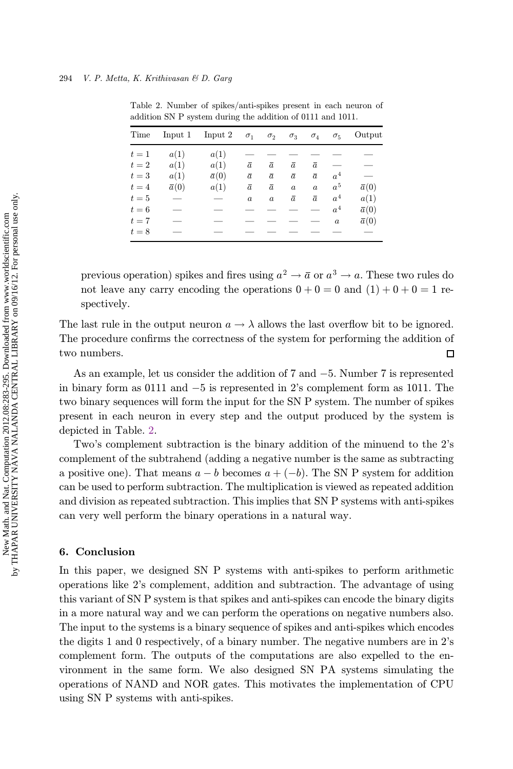| Time  | Input <sub>1</sub> | Input <sub>2</sub> | $\sigma_1$       | $\sigma_{2}$     | $\sigma_{3}$     | $\sigma_4$       | $\sigma_{5}$     | Output       |
|-------|--------------------|--------------------|------------------|------------------|------------------|------------------|------------------|--------------|
| $t=1$ | a(1)               | a(1)               |                  |                  |                  |                  |                  |              |
| $t=2$ | a(1)               | a(1)               | $\bar{a}$        | $\bar{a}$        | $\bar{a}$        | $\bar{a}$        |                  |              |
| $t=3$ | a(1)               | $\bar{a}(0)$       | $\bar{a}$        | $\bar{a}$        | $\bar{a}$        | $\bar{a}$        | a <sup>4</sup>   |              |
| $t=4$ | $\bar{a}(0)$       | a(1)               | $\bar{a}$        | $\bar{a}$        | $\boldsymbol{a}$ | $\boldsymbol{a}$ | $a^5$            | $\bar{a}(0)$ |
| $t=5$ |                    | --                 | $\boldsymbol{a}$ | $\boldsymbol{a}$ | $\bar{a}$        | $\bar{a}$        | a <sup>4</sup>   | a(1)         |
| $t=6$ |                    |                    |                  |                  |                  |                  | a <sup>4</sup>   | $\bar{a}(0)$ |
| $t=7$ |                    |                    |                  |                  |                  |                  | $\boldsymbol{a}$ | $\bar{a}(0)$ |
| $t=8$ |                    |                    |                  |                  |                  |                  |                  |              |

Table 2. Number of spikes/anti-spikes present in each neuron of addition SN P system during the addition of 0111 and 1011.

previous operation) spikes and fires using  $a^2 \to \overline{a}$  or  $a^3 \to a$ . These two rules do not leave any carry encoding the operations  $0 + 0 = 0$  and  $(1) + 0 + 0 = 1$  respectively.

The last rule in the output neuron  $a \to \lambda$  allows the last overflow bit to be ignored. The procedure confirms the correctness of the system for performing the addition of two numbers.  $\Box$ 

As an example, let us consider the addition of 7 and  $-5$ . Number 7 is represented<br>hinery form as 0111 and  $-5$  is represented in 2's complement form as 1011. The in binary form as  $0111$  and  $-5$  is represented in 2's complement form as  $1011$ . The two binary sequences will form the input for the SN P system. The number of spikes present in each neuron in every step and the output produced by the system is depicted in Table. 2.

Two's complement subtraction is the binary addition of the minuend to the 2's complement of the subtrahend (adding a negative number is the same as subtracting a positive one). That means  $a - b$  becomes  $a + (-b)$ . The SN P system for addition<br>can be used to perform subtraction. The multiplication is viewed as repeated addition can be used to perform subtraction. The multiplication is viewed as repeated addition and division as repeated subtraction. This implies that SN P systems with anti-spikes can very well perform the binary operations in a natural way.

### 6. Conclusion

In this paper, we designed SN P systems with anti-spikes to perform arithmetic operations like 2's complement, addition and subtraction. The advantage of using this variant of SN P system is that spikes and anti-spikes can encode the binary digits in a more natural way and we can perform the operations on negative numbers also. The input to the systems is a binary sequence of spikes and anti-spikes which encodes the digits 1 and 0 respectively, of a binary number. The negative numbers are in 2's complement form. The outputs of the computations are also expelled to the environment in the same form. We also designed SN PA systems simulating the operations of NAND and NOR gates. This motivates the implementation of CPU using SN P systems with anti-spikes.